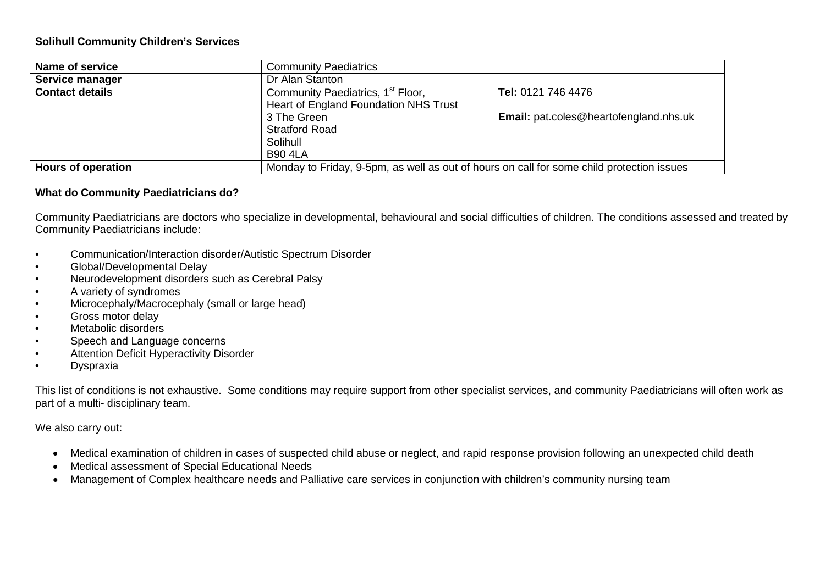## **Solihull Community Children's Services**

| Name of service           | <b>Community Paediatrics</b>                                                              |                                               |  |
|---------------------------|-------------------------------------------------------------------------------------------|-----------------------------------------------|--|
| Service manager           | Dr Alan Stanton                                                                           |                                               |  |
| <b>Contact details</b>    | Community Paediatrics, 1 <sup>st</sup> Floor,<br>Heart of England Foundation NHS Trust    | Tel: 0121 746 4476                            |  |
|                           | 3 The Green                                                                               | <b>Email:</b> pat.coles@heartofengland.nhs.uk |  |
|                           | <b>Stratford Road</b><br>Solihull                                                         |                                               |  |
|                           | <b>B90 4LA</b>                                                                            |                                               |  |
| <b>Hours of operation</b> | Monday to Friday, 9-5pm, as well as out of hours on call for some child protection issues |                                               |  |

## **What do Community Paediatricians do?**

Community Paediatricians are doctors who specialize in developmental, behavioural and social difficulties of children. The conditions assessed and treated by Community Paediatricians include:

- Communication/Interaction disorder/Autistic Spectrum Disorder
- Global/Developmental Delay
- Neurodevelopment disorders such as Cerebral Palsy
- A variety of syndromes
- Microcephaly/Macrocephaly (small or large head)
- Gross motor delay
- Metabolic disorders
- Speech and Language concerns
- Attention Deficit Hyperactivity Disorder
- Dyspraxia

This list of conditions is not exhaustive. Some conditions may require support from other specialist services, and community Paediatricians will often work as part of a multi- disciplinary team.

We also carry out:

- Medical examination of children in cases of suspected child abuse or neglect, and rapid response provision following an unexpected child death
- Medical assessment of Special Educational Needs
- Management of Complex healthcare needs and Palliative care services in conjunction with children's community nursing team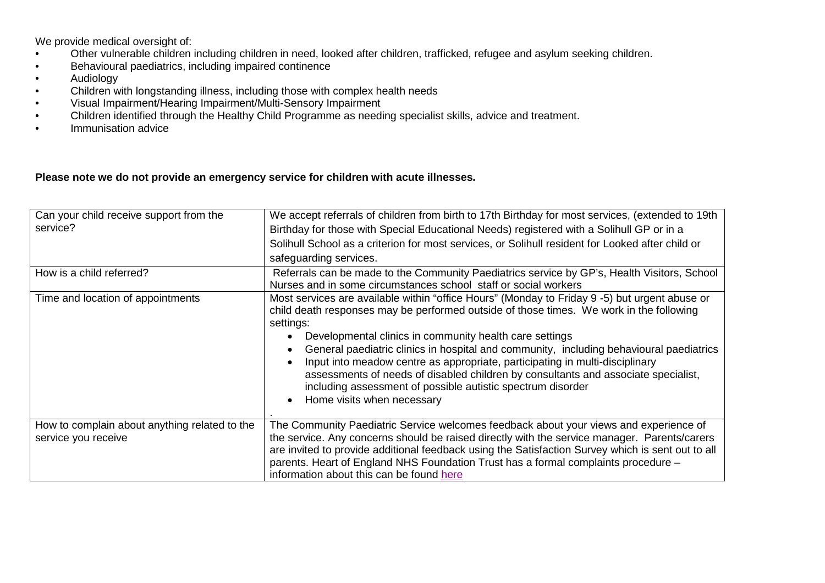We provide medical oversight of:

- Other vulnerable children including children in need, looked after children, trafficked, refugee and asylum seeking children.
- Behavioural paediatrics, including impaired continence
- Audiology
- Children with longstanding illness, including those with complex health needs
- Visual Impairment/Hearing Impairment/Multi-Sensory Impairment
- Children identified through the Healthy Child Programme as needing specialist skills, advice and treatment.
- Immunisation advice

## **Please note we do not provide an emergency service for children with acute illnesses.**

| Can your child receive support from the<br>service?                  | We accept referrals of children from birth to 17th Birthday for most services, (extended to 19th<br>Birthday for those with Special Educational Needs) registered with a Solihull GP or in a<br>Solihull School as a criterion for most services, or Solihull resident for Looked after child or<br>safeguarding services.                                                                                                                                                                                                                                                                                                     |
|----------------------------------------------------------------------|--------------------------------------------------------------------------------------------------------------------------------------------------------------------------------------------------------------------------------------------------------------------------------------------------------------------------------------------------------------------------------------------------------------------------------------------------------------------------------------------------------------------------------------------------------------------------------------------------------------------------------|
| How is a child referred?                                             | Referrals can be made to the Community Paediatrics service by GP's, Health Visitors, School<br>Nurses and in some circumstances school staff or social workers                                                                                                                                                                                                                                                                                                                                                                                                                                                                 |
| Time and location of appointments                                    | Most services are available within "office Hours" (Monday to Friday 9 -5) but urgent abuse or<br>child death responses may be performed outside of those times. We work in the following<br>settings:<br>Developmental clinics in community health care settings<br>General paediatric clinics in hospital and community, including behavioural paediatrics<br>Input into meadow centre as appropriate, participating in multi-disciplinary<br>assessments of needs of disabled children by consultants and associate specialist,<br>including assessment of possible autistic spectrum disorder<br>Home visits when necessary |
| How to complain about anything related to the<br>service you receive | The Community Paediatric Service welcomes feedback about your views and experience of<br>the service. Any concerns should be raised directly with the service manager. Parents/carers<br>are invited to provide additional feedback using the Satisfaction Survey which is sent out to all<br>parents. Heart of England NHS Foundation Trust has a formal complaints procedure -<br>information about this can be found here                                                                                                                                                                                                   |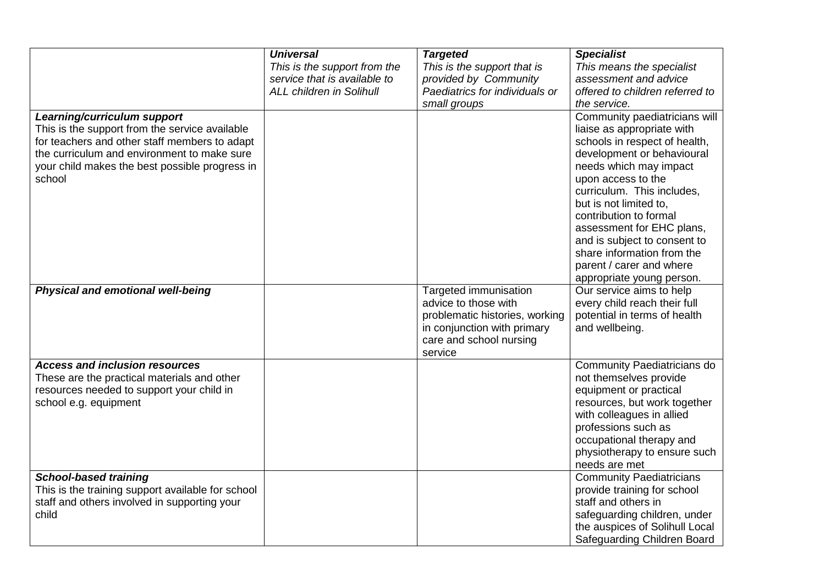|                                                                                          | <b>Universal</b>                                             | <b>Targeted</b>                                         | <b>Specialist</b>                                         |
|------------------------------------------------------------------------------------------|--------------------------------------------------------------|---------------------------------------------------------|-----------------------------------------------------------|
|                                                                                          | This is the support from the<br>service that is available to | This is the support that is                             | This means the specialist                                 |
|                                                                                          | <b>ALL children in Solihull</b>                              | provided by Community<br>Paediatrics for individuals or | assessment and advice<br>offered to children referred to  |
|                                                                                          |                                                              | small groups                                            | the service.                                              |
| Learning/curriculum support                                                              |                                                              |                                                         | Community paediatricians will                             |
| This is the support from the service available                                           |                                                              |                                                         | liaise as appropriate with                                |
| for teachers and other staff members to adapt                                            |                                                              |                                                         | schools in respect of health,                             |
| the curriculum and environment to make sure                                              |                                                              |                                                         | development or behavioural                                |
| your child makes the best possible progress in                                           |                                                              |                                                         | needs which may impact                                    |
| school                                                                                   |                                                              |                                                         | upon access to the                                        |
|                                                                                          |                                                              |                                                         | curriculum. This includes,                                |
|                                                                                          |                                                              |                                                         | but is not limited to,                                    |
|                                                                                          |                                                              |                                                         | contribution to formal                                    |
|                                                                                          |                                                              |                                                         | assessment for EHC plans,<br>and is subject to consent to |
|                                                                                          |                                                              |                                                         | share information from the                                |
|                                                                                          |                                                              |                                                         | parent / carer and where                                  |
|                                                                                          |                                                              |                                                         | appropriate young person.                                 |
| Physical and emotional well-being                                                        |                                                              | Targeted immunisation                                   | Our service aims to help                                  |
|                                                                                          |                                                              | advice to those with                                    | every child reach their full                              |
|                                                                                          |                                                              | problematic histories, working                          | potential in terms of health                              |
|                                                                                          |                                                              | in conjunction with primary                             | and wellbeing.                                            |
|                                                                                          |                                                              | care and school nursing                                 |                                                           |
|                                                                                          |                                                              | service                                                 |                                                           |
| <b>Access and inclusion resources</b>                                                    |                                                              |                                                         | Community Paediatricians do                               |
| These are the practical materials and other<br>resources needed to support your child in |                                                              |                                                         | not themselves provide<br>equipment or practical          |
| school e.g. equipment                                                                    |                                                              |                                                         | resources, but work together                              |
|                                                                                          |                                                              |                                                         | with colleagues in allied                                 |
|                                                                                          |                                                              |                                                         | professions such as                                       |
|                                                                                          |                                                              |                                                         | occupational therapy and                                  |
|                                                                                          |                                                              |                                                         | physiotherapy to ensure such                              |
|                                                                                          |                                                              |                                                         | needs are met                                             |
| <b>School-based training</b>                                                             |                                                              |                                                         | <b>Community Paediatricians</b>                           |
| This is the training support available for school                                        |                                                              |                                                         | provide training for school                               |
| staff and others involved in supporting your                                             |                                                              |                                                         | staff and others in                                       |
| child                                                                                    |                                                              |                                                         | safeguarding children, under                              |
|                                                                                          |                                                              |                                                         | the auspices of Solihull Local                            |
|                                                                                          |                                                              |                                                         | Safeguarding Children Board                               |